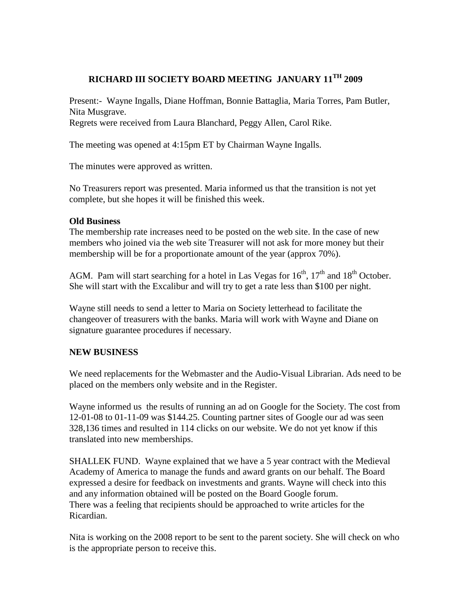## **RICHARD III SOCIETY BOARD MEETING JANUARY 11TH 2009**

Present:- Wayne Ingalls, Diane Hoffman, Bonnie Battaglia, Maria Torres, Pam Butler, Nita Musgrave. Regrets were received from Laura Blanchard, Peggy Allen, Carol Rike.

The meeting was opened at 4:15pm ET by Chairman Wayne Ingalls.

The minutes were approved as written.

No Treasurers report was presented. Maria informed us that the transition is not yet complete, but she hopes it will be finished this week.

## **Old Business**

The membership rate increases need to be posted on the web site. In the case of new members who joined via the web site Treasurer will not ask for more money but their membership will be for a proportionate amount of the year (approx 70%).

AGM. Pam will start searching for a hotel in Las Vegas for  $16^{th}$ ,  $17^{th}$  and  $18^{th}$  October. She will start with the Excalibur and will try to get a rate less than \$100 per night.

Wayne still needs to send a letter to Maria on Society letterhead to facilitate the changeover of treasurers with the banks. Maria will work with Wayne and Diane on signature guarantee procedures if necessary.

## **NEW BUSINESS**

We need replacements for the Webmaster and the Audio-Visual Librarian. Ads need to be placed on the members only website and in the Register.

Wayne informed us the results of running an ad on Google for the Society. The cost from 12-01-08 to 01-11-09 was \$144.25. Counting partner sites of Google our ad was seen 328,136 times and resulted in 114 clicks on our website. We do not yet know if this translated into new memberships.

SHALLEK FUND. Wayne explained that we have a 5 year contract with the Medieval Academy of America to manage the funds and award grants on our behalf. The Board expressed a desire for feedback on investments and grants. Wayne will check into this and any information obtained will be posted on the Board Google forum. There was a feeling that recipients should be approached to write articles for the Ricardian.

Nita is working on the 2008 report to be sent to the parent society. She will check on who is the appropriate person to receive this.